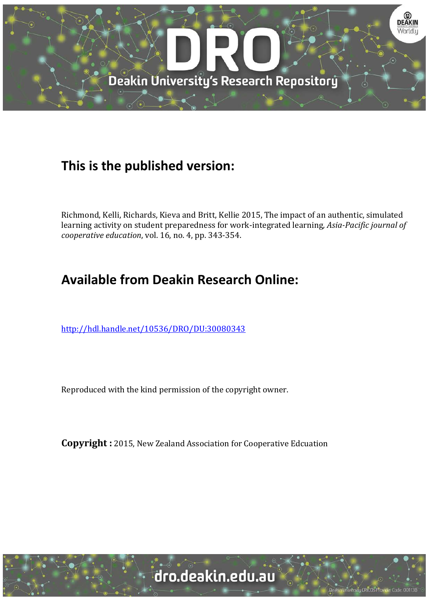

# **This is the published version:**

Richmond, Kelli, Richards, Kieva and Britt, Kellie 2015, The impact of an authentic, simulated learning activity on student preparedness for work-integrated learning*, Asia-Pacific journal of cooperative education*, vol. 16, no. 4, pp. 343-354.

# **Available from Deakin Research Online:**

<http://hdl.handle.net/10536/DRO/DU:30080343>

Reproduced with the kind permission of the copyright owner.

**Copyright :** 2015, New Zealand Association for Cooperative Edcuation

sity CRICOS Provider Code: 00113E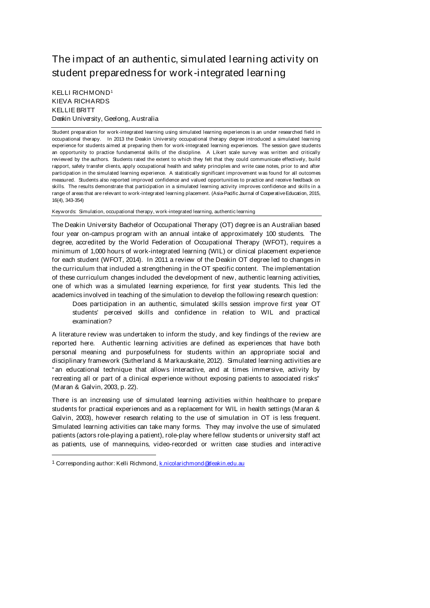# The impact of an authentic, simulated learning activity on student preparedness for work-integrated learning

## KELLI RICHMOND1 KIEVA RICHARDS KELLIE BRITT Deakin University, Geelong, Australia

Student preparation for work-integrated learning using simulated learning experiences is an under researched field in occupational therapy. In 2013 the Deakin University occupational therapy degree introduced a simulated learning experience for students aimed at preparing them for work-integrated learning experiences. The session gave students an opportunity to practice fundamental skills of the discipline. A Likert scale survey was written and critically reviewed by the authors. Students rated the extent to which they felt that they could communicate effectively, build rapport, safely transfer clients, apply occupational health and safety principles and write case notes, prior to and after participation in the simulated learning experience. A statistically significant improvement was found for all outcomes measured. Students also reported improved confidence and valued opportunities to practice and receive feedback on skills. The results demonstrate that participation in a simulated learning activity improves confidence and skills in a range of areas that are relevant to work-integrated learning placement. (Asia-Pacific Journal of Cooperative Education, 2015, 16(4), 343-354)

Keywords: Simulation, occupational therapy, work-integrated learning, authentic learning

The Deakin University Bachelor of Occupational Therapy (OT) degree is an Australian based four year on-campus program with an annual intake of approximately 100 students. The degree, accredited by the World Federation of Occupational Therapy (WFOT), requires a minimum of 1,000 hours of work-integrated learning (WIL) or clinical placement experience for each student (WFOT, 2014). In 2011 a review of the Deakin OT degree led to changes in the curriculum that included a strengthening in the OT specific content. The implementation of these curriculum changes included the development of new, authentic learning activities, one of which was a simulated learning experience, for first year students. This led the academics involved in teaching of the simulation to develop the following research question:

Does participation in an authentic, simulated skills session improve first year OT students' perceived skills and confidence in relation to WIL and practical examination?

A literature review was undertaken to inform the study, and key findings of the review are reported here. Authentic learning activities are defined as experiences that have both personal meaning and purposefulness for students within an appropriate social and disciplinary framework (Sutherland & Markauskaite, 2012). Simulated learning activities are " an educational technique that allows interactive, and at times immersive, activity by recreating all or part of a clinical experience without exposing patients to associated risks" (Maran & Galvin, 2003, p. 22).

There is an increasing use of simulated learning activities within healthcare to prepare students for practical experiences and as a replacement for WIL in health settings (Maran & Galvin, 2003), however research relating to the use of simulation in OT is less frequent. Simulated learning activities can take many forms. They may involve the use of simulated patients (actors role-playing a patient), role-play where fellow students or university staff act as patients, use of mannequins, video-recorded or written case studies and interactive

1

<sup>1</sup> Corresponding author: Kelli Richmond, k.nicolarichmond@deakin.edu.au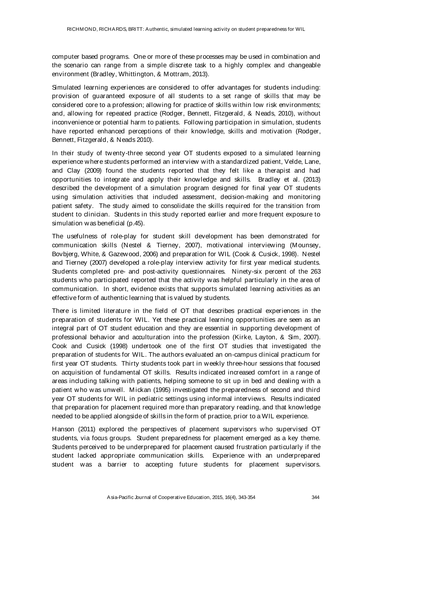computer based programs. One or more of these processes may be used in combination and the scenario can range from a simple discrete task to a highly complex and changeable environment (Bradley, Whittington, & Mottram, 2013).

Simulated learning experiences are considered to offer advantages for students including: provision of guaranteed exposure of all students to a set range of skills that may be considered core to a profession; allowing for practice of skills within low risk environments; and, allowing for repeated practice (Rodger, Bennett, Fitzgerald, & Neads, 2010), without inconvenience or potential harm to patients. Following participation in simulation, students have reported enhanced perceptions of their knowledge, skills and motivation (Rodger, Bennett, Fitzgerald, & Neads 2010).

In their study of twenty-three second year OT students exposed to a simulated learning experience where students performed an interview with a standardized patient, Velde, Lane, and Clay (2009) found the students reported that they felt like a therapist and had opportunities to integrate and apply their knowledge and skills. Bradley et al. (2013) described the development of a simulation program designed for final year OT students using simulation activities that included assessment, decision-making and monitoring patient safety. The study aimed to consolidate the skills required for the transition from student to clinician. Students in this study reported earlier and more frequent exposure to simulation was beneficial (p.45).

The usefulness of role-play for student skill development has been demonstrated for communication skills (Nestel & Tierney, 2007), motivational interviewing (Mounsey, Bovbjerg, White, & Gazewood, 2006) and preparation for WIL (Cook & Cusick, 1998). Nestel and Tierney (2007) developed a role-play interview activity for first year medical students. Students completed pre- and post-activity questionnaires. Ninety-six percent of the 263 students who participated reported that the activity was helpful particularly in the area of communication. In short, evidence exists that supports simulated learning activities as an effective form of authentic learning that is valued by students.

There is limited literature in the field of OT that describes practical experiences in the preparation of students for WIL. Yet these practical learning opportunities are seen as an integral part of OT student education and they are essential in supporting development of professional behavior and acculturation into the profession (Kirke, Layton, & Sim, 2007). Cook and Cusick (1998) undertook one of the first OT studies that investigated the preparation of students for WIL. The authors evaluated an on-campus clinical practicum for first year OT students. Thirty students took part in weekly three-hour sessions that focused on acquisition of fundamental OT skills. Results indicated increased comfort in a range of areas including talking with patients, helping someone to sit up in bed and dealing with a patient who was unwell. Mickan (1995) investigated the preparedness of second and third year OT students for WIL in pediatric settings using informal interviews. Results indicated that preparation for placement required more than preparatory reading, and that knowledge needed to be applied alongside of skills in the form of practice, prior to a WIL experience.

Hanson (2011) explored the perspectives of placement supervisors who supervised OT students, via focus groups. Student preparedness for placement emerged as a key theme. Students perceived to be underprepared for placement caused frustration particularly if the student lacked appropriate communication skills. Experience with an underprepared student was a barrier to accepting future students for placement supervisors.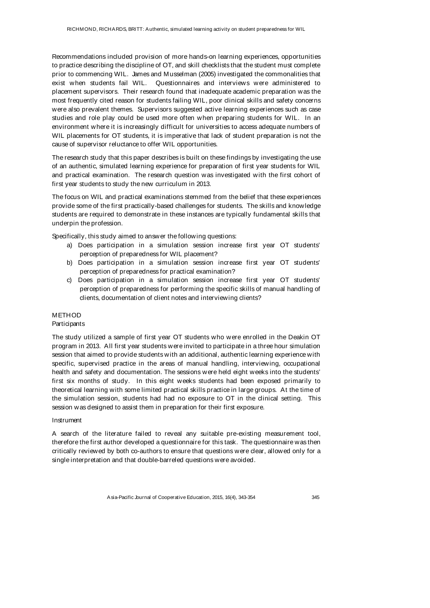Recommendations included provision of more hands-on learning experiences, opportunities to practice describing the discipline of OT, and skill checklists that the student must complete prior to commencing WIL. James and Musselman (2005) investigated the commonalities that exist when students fail WIL. Questionnaires and interviews were administered to placement supervisors. Their research found that inadequate academic preparation was the most frequently cited reason for students failing WIL, poor clinical skills and safety concerns were also prevalent themes. Supervisors suggested active learning experiences such as case studies and role play could be used more often when preparing students for WIL. In an environment where it is increasingly difficult for universities to access adequate numbers of WIL placements for OT students, it is imperative that lack of student preparation is not the cause of supervisor reluctance to offer WIL opportunities.

The research study that this paper describes is built on these findings by investigating the use of an authentic, simulated learning experience for preparation of first year students for WIL and practical examination. The research question was investigated with the first cohort of first year students to study the new curriculum in 2013.

The focus on WIL and practical examinations stemmed from the belief that these experiences provide some of the first practically-based challenges for students. The skills and knowledge students are required to demonstrate in these instances are typically fundamental skills that underpin the profession.

Specifically, this study aimed to answer the following questions:

- a) Does participation in a simulation session increase first year OT students' perception of preparedness for WIL placement?
- b) Does participation in a simulation session increase first year OT students' perception of preparedness for practical examination?
- c) Does participation in a simulation session increase first year OT students' perception of preparedness for performing the specific skills of manual handling of clients, documentation of client notes and interviewing clients?

### **METHOD**

#### Participants

The study utilized a sample of first year OT students who were enrolled in the Deakin OT program in 2013. All first year students were invited to participate in a three hour simulation session that aimed to provide students with an additional, authentic learning experience with specific, supervised practice in the areas of manual handling, interviewing, occupational health and safety and documentation. The sessions were held eight weeks into the students' first six months of study. In this eight weeks students had been exposed primarily to theoretical learning with some limited practical skills practice in large groups. At the time of the simulation session, students had had no exposure to OT in the clinical setting. This session was designed to assist them in preparation for their first exposure.

#### Instrument

A search of the literature failed to reveal any suitable pre-existing measurement tool, therefore the first author developed a questionnaire for this task. The questionnaire was then critically reviewed by both co-authors to ensure that questions were clear, allowed only for a single interpretation and that double-barreled questions were avoided.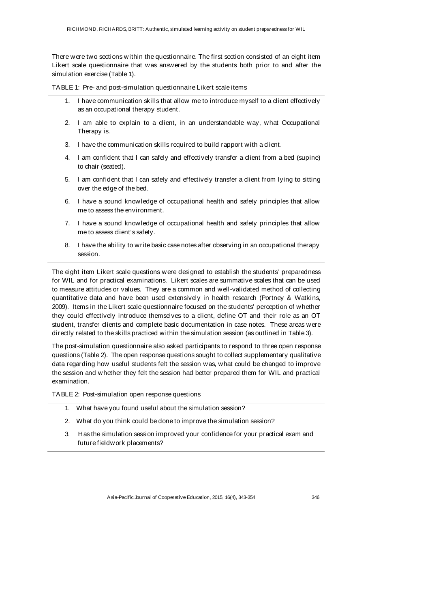There were two sections within the questionnaire. The first section consisted of an eight item Likert scale questionnaire that was answered by the students both prior to and after the simulation exercise (Table 1).

TABLE 1: Pre- and post-simulation questionnaire Likert scale items

- 1. I have communication skills that allow me to introduce myself to a client effectively as an occupational therapy student.
- 2. I am able to explain to a client, in an understandable way, what Occupational Therapy is.
- 3. I have the communication skills required to build rapport with a client.
- 4. I am confident that I can safely and effectively transfer a client from a bed (supine) to chair (seated).
- 5. I am confident that I can safely and effectively transfer a client from lying to sitting over the edge of the bed.
- 6. I have a sound knowledge of occupational health and safety principles that allow me to assess the environment.
- 7. I have a sound knowledge of occupational health and safety principles that allow me to assess client's safety.
- 8. I have the ability to write basic case notes after observing in an occupational therapy session.

The eight item Likert scale questions were designed to establish the students' preparedness for WIL and for practical examinations. Likert scales are summative scales that can be used to measure attitudes or values. They are a common and well-validated method of collecting quantitative data and have been used extensively in health research (Portney & Watkins, 2009). Items in the Likert scale questionnaire focused on the students' perception of whether they could effectively introduce themselves to a client, define OT and their role as an OT student, transfer clients and complete basic documentation in case notes. These areas were directly related to the skills practiced within the simulation session (as outlined in Table 3).

The post-simulation questionnaire also asked participants to respond to three open response questions (Table 2). The open response questions sought to collect supplementary qualitative data regarding how useful students felt the session was, what could be changed to improve the session and whether they felt the session had better prepared them for WIL and practical examination.

TABLE 2: Post-simulation open response questions

- 1. What have you found useful about the simulation session?
- 2. What do you think could be done to improve the simulation session?
- 3. Has the simulation session improved your confidence for your practical exam and future fieldwork placements?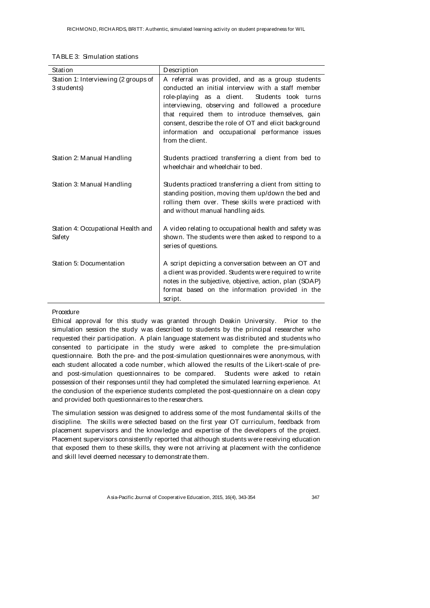| Station                                             | Description                                                                                                                                                                                                                                                                                                                                                                                        |
|-----------------------------------------------------|----------------------------------------------------------------------------------------------------------------------------------------------------------------------------------------------------------------------------------------------------------------------------------------------------------------------------------------------------------------------------------------------------|
| Station 1: Interviewing (2 groups of<br>3 students) | A referral was provided, and as a group students<br>conducted an initial interview with a staff member<br>role-playing as a dient.<br>Students took turns<br>interviewing, observing and followed a procedure<br>that required them to introduce themselves, gain<br>consent, describe the role of OT and elicit background<br>information and occupational performance issues<br>from the client. |
| Station 2: Manual Handling                          | Students practiced transferring a client from bed to<br>wheelchair and wheelchair to bed.                                                                                                                                                                                                                                                                                                          |
| Station 3: Manual Handling                          | Students practiced transferring a client from sitting to<br>standing position, moving them up/down the bed and<br>rolling them over. These skills were practiced with<br>and without manual handling aids.                                                                                                                                                                                         |
| Station 4: Occupational Health and<br>Safety        | A video relating to occupational health and safety was<br>shown. The students were then asked to respond to a<br>series of questions.                                                                                                                                                                                                                                                              |
| Station 5: Documentation                            | A script depicting a conversation between an OT and<br>a dient was provided. Students were required to write<br>notes in the subjective, objective, action, plan (SOAP)<br>format based on the information provided in the<br>script.                                                                                                                                                              |

#### Procedure

Ethical approval for this study was granted through Deakin University. Prior to the simulation session the study was described to students by the principal researcher who requested their participation. A plain language statement was distributed and students who consented to participate in the study were asked to complete the pre-simulation questionnaire. Both the pre- and the post-simulation questionnaires were anonymous, with each student allocated a code number, which allowed the results of the Likert-scale of preand post-simulation questionnaires to be compared. Students were asked to retain possession of their responses until they had completed the simulated learning experience. At the conclusion of the experience students completed the post-questionnaire on a clean copy and provided both questionnaires to the researchers.

The simulation session was designed to address some of the most fundamental skills of the discipline. The skills were selected based on the first year OT curriculum, feedback from placement supervisors and the knowledge and expertise of the developers of the project. Placement supervisors consistently reported that although students were receiving education that exposed them to these skills, they were not arriving at placement with the confidence and skill level deemed necessary to demonstrate them.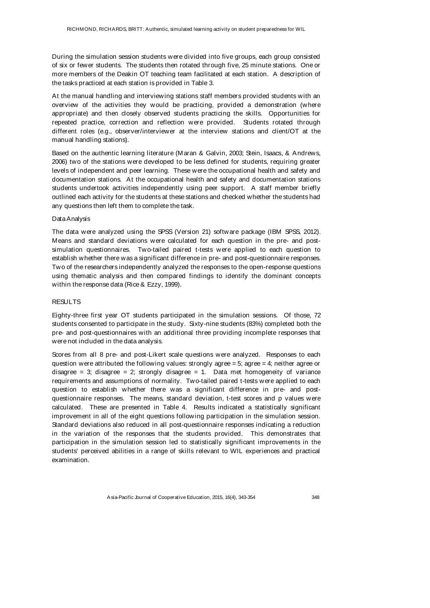During the simulation session students were divided into five groups, each group consisted of six or fewer students. The students then rotated through five, 25 minute stations. One or more members of the Deakin OT teaching team facilitated at each station. A description of the tasks practiced at each station is provided in Table 3.

At the manual handling and interviewing stations staff members provided students with an overview of the activities they would be practicing, provided a demonstration (where appropriate) and then closely observed students practicing the skills. Opportunities for repeated practice, correction and reflection were provided. Students rotated through different roles (e.g., observer/interviewer at the interview stations and client/OT at the manual handling stations).

Based on the authentic learning literature (Maran & Galvin, 2003; Stein, Isaacs, & Andrews, 2006) two of the stations were developed to be less defined for students, requiring greater levels of independent and peer learning. These were the occupational health and safety and documentation stations. At the occupational health and safety and documentation stations students undertook activities independently using peer support. A staff member briefly outlined each activity for the students at these stations and checked whether the students had any questions then left them to complete the task.

#### Data Analysis

The data were analyzed using the SPSS (Version 21) software package (IBM SPSS, 2012). Means and standard deviations were calculated for each question in the pre- and postsimulation questionnaires. Two-tailed paired t-tests were applied to each question to establish whether there was a significant difference in pre- and post-questionnaire responses. Two of the researchers independently analyzed the responses to the open-response questions using thematic analysis and then compared findings to identify the dominant concepts within the response data (Rice & Ezzy, 1999).

#### RESULTS

Eighty-three first year OT students participated in the simulation sessions. Of those, 72 students consented to participate in the study. Sixty-nine students (83%) completed both the pre- and post-questionnaires with an additional three providing incomplete responses that were not included in the data analysis.

Scores from all 8 pre- and post-Likert scale questions were analyzed. Responses to each question were attributed the following values: strongly agree = 5; agree = 4; neither agree or disagree = 3; disagree = 2; strongly disagree = 1. Data met homogeneity of variance requirements and assumptions of normality. Two-tailed paired t-tests were applied to each question to establish whether there was a significant difference in pre- and postquestionnaire responses. The means, standard deviation, t-test scores and p values were calculated. These are presented in Table 4. Results indicated a statistically significant improvement in all of the eight questions following participation in the simulation session. Standard deviations also reduced in all post-questionnaire responses indicating a reduction in the variation of the responses that the students provided. This demonstrates that participation in the simulation session led to statistically significant improvements in the students' perceived abilities in a range of skills relevant to WIL experiences and practical examination.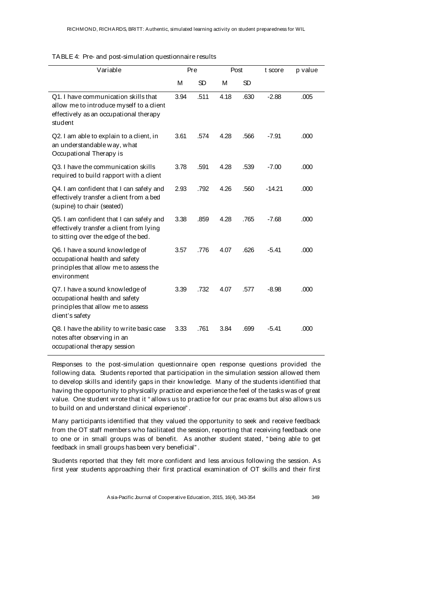|  |  | TABLE 4: Pre- and post-simulation questionnaire results |  |  |
|--|--|---------------------------------------------------------|--|--|
|--|--|---------------------------------------------------------|--|--|

| Variable                                                                                                                              | Pre  |      | Post |      | t score  | p value |
|---------------------------------------------------------------------------------------------------------------------------------------|------|------|------|------|----------|---------|
|                                                                                                                                       | M    | SD   | M    | SD   |          |         |
| Q1. I have communication skills that<br>allow me to introduce myself to a client<br>effectively as an occupational therapy<br>student | 3.94 | .511 | 4.18 | .630 | $-2.88$  | .005    |
| Q2. I am able to explain to a client, in<br>an understandable way, what<br>Occupational Therapy is                                    | 3.61 | .574 | 4.28 | .566 | $-7.91$  | .000    |
| Q3. I have the communication skills<br>required to build rapport with a dient                                                         | 3.78 | .591 | 4.28 | .539 | $-7.00$  | .000    |
| Q4. I am confident that I can safely and<br>effectively transfer a client from a bed<br>(supine) to chair (seated)                    | 2.93 | .792 | 4.26 | .560 | $-14.21$ | .000    |
| Q5. I am confident that I can safely and<br>effectively transfer a client from lying<br>to sitting over the edge of the bed.          | 3.38 | .859 | 4.28 | .765 | $-7.68$  | .000    |
| Q6. I have a sound knowledge of<br>occupational health and safety<br>principles that allow me to assess the<br>environment            | 3.57 | .776 | 4.07 | .626 | $-5.41$  | .000    |
| Q7. I have a sound knowledge of<br>occupational health and safety<br>principles that allow me to assess<br>dient's safety             | 3.39 | .732 | 4.07 | .577 | $-8.98$  | .000    |
| Q8. I have the ability to write basic case<br>notes after observing in an<br>occupational therapy session                             | 3.33 | .761 | 3.84 | .699 | $-5.41$  | .000    |

Responses to the post-simulation questionnaire open response questions provided the following data. Students reported that participation in the simulation session allowed them to develop skills and identify gaps in their knowledge. Many of the students identified that having the opportunity to physically practice and experience the feel of the tasks was of great value. One student wrote that it " allows us to practice for our prac exams but also allows us to build on and understand clinical experience" .

Many participants identified that they valued the opportunity to seek and receive feedback from the OT staff members who facilitated the session, reporting that receiving feedback one to one or in small groups was of benefit. As another student stated, " being able to get feedback in small groups has been very beneficial" .

Students reported that they felt more confident and less anxious following the session. As first year students approaching their first practical examination of OT skills and their first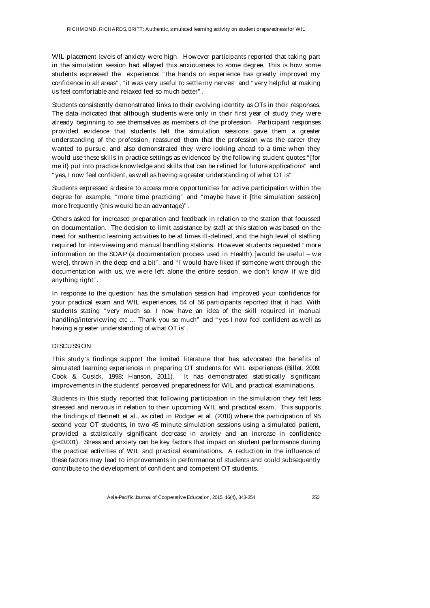WIL placement levels of anxiety were high. However participants reported that taking part in the simulation session had allayed this anxiousness to some degree. This is how some students expressed the experience: " the hands on experience has greatly improved my confidence in all areas" , " it was very useful to settle my nerves" and " very helpful at making us feel comfortable and relaxed feel so much better" .

Students consistently demonstrated links to their evolving identity as OTs in their responses. The data indicated that although students were only in their first year of study they were already beginning to see themselves as members of the profession. Participant responses provided evidence that students felt the simulation sessions gave them a greater understanding of the profession, reassured them that the profession was the career they wanted to pursue, and also demonstrated they were looking ahead to a time when they would use these skills in practice settings as evidenced by the following student quotes." [for me it} put into practice knowledge and skills that can be refined for future applications" and " yes, I now feel confident, as well as having a greater understanding of what OT is"

Students expressed a desire to access more opportunities for active participation within the degree for example, " more time practicing" and " maybe have it [the simulation session] more frequently (this would be an advantage)" .

Others asked for increased preparation and feedback in relation to the station that focussed on documentation. The decision to limit assistance by staff at this station was based on the need for authentic learning activities to be at times ill-defined, and the high level of staffing required for interviewing and manual handling stations. However students requested " more information on the SOAP (a documentation process used in Health) [would be useful – we were], thrown in the deep end a bit", and "I would have liked if someone went through the documentation with us, we were left alone the entire session, we don't know if we did anything right" .

In response to the question: has the simulation session had improved your confidence for your practical exam and WIL experiences, 54 of 56 participants reported that it had. With students stating " very much so. I now have an idea of the skill required in manual handling/interviewing etc ... Thank you so much" and "yes I now feel confident as well as having a greater understanding of what OT is" .

### **DISCUSSION**

This study's findings support the limited literature that has advocated the benefits of simulated learning experiences in preparing OT students for WIL experiences (Billet, 2009; Cook & Cusick, 1998; Hanson, 2011). It has demonstrated statistically significant improvements in the students' perceived preparedness for WIL and practical examinations.

Students in this study reported that following participation in the simulation they felt less stressed and nervous in relation to their upcoming WIL and practical exam. This supports the findings of Bennett et al., as cited in Rodger et al. (2010) where the participation of 95 second year OT students, in two 45 minute simulation sessions using a simulated patient, provided a statistically significant decrease in anxiety and an increase in confidence (p<0.001). Stress and anxiety can be key factors that impact on student performance during the practical activities of WIL and practical examinations. A reduction in the influence of these factors may lead to improvements in performance of students and could subsequently contribute to the development of confident and competent OT students.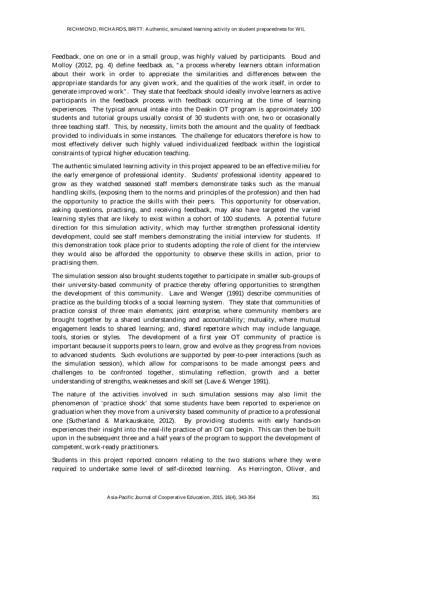Feedback, one on one or in a small group, was highly valued by participants. Boud and Molloy (2012, pg. 4) define feedback as, " a process whereby learners obtain information about their work in order to appreciate the similarities and differences between the appropriate standards for any given work, and the qualities of the work itself, in order to generate improved work" . They state that feedback should ideally involve learners as active participants in the feedback process with feedback occurring at the time of learning experiences. The typical annual intake into the Deakin OT program is approximately 100 students and tutorial groups usually consist of 30 students with one, two or occasionally three teaching staff. This, by necessity, limits both the amount and the quality of feedback provided to individuals in some instances. The challenge for educators therefore is how to most effectively deliver such highly valued individualized feedback within the logistical constraints of typical higher education teaching.

The authentic simulated learning activity in this project appeared to be an effective milieu for the early emergence of professional identity. Students' professional identity appeared to grow as they watched seasoned staff members demonstrate tasks such as the manual handling skills, (exposing them to the norms and principles of the profession) and then had the opportunity to practice the skills with their peers. This opportunity for observation, asking questions, practising, and receiving feedback, may also have targeted the varied learning styles that are likely to exist within a cohort of 100 students. A potential future direction for this simulation activity, which may further strengthen professional identity development, could see staff members demonstrating the initial interview for students. If this demonstration took place prior to students adopting the role of client for the interview they would also be afforded the opportunity to observe these skills in action, prior to practising them.

The simulation session also brought students together to participate in smaller sub-groups of their university-based community of practice thereby offering opportunities to strengthen the development of this community. Lave and Wenger (1991) describe communities of practice as the building blocks of a social learning system. They state that communities of practice consist of three main elements; joint enterprise, where community members are brought together by a shared understanding and accountability; mutuality, where mutual engagement leads to shared learning; and, shared repertoire which may include language, tools, stories or styles. The development of a first year OT community of practice is important because it supports peers to learn, grow and evolve as they progress from novices to advanced students. Such evolutions are supported by peer-to-peer interactions (such as the simulation session), which allow for comparisons to be made amongst peers and challenges to be confronted together, stimulating reflection, growth and a better understanding of strengths, weaknesses and skill set (Lave & Wenger 1991).

The nature of the activities involved in such simulation sessions may also limit the phenomenon of 'practice shock' that some students have been reported to experience on graduation when they move from a university based community of practice to a professional one (Sutherland & Markauskaite, 2012). By providing students with early hands-on experiences their insight into the real-life practice of an OT can begin. This can then be built upon in the subsequent three and a half years of the program to support the development of competent, work-ready practitioners.

Students in this project reported concern relating to the two stations where they were required to undertake some level of self-directed learning. As Herrington, Oliver, and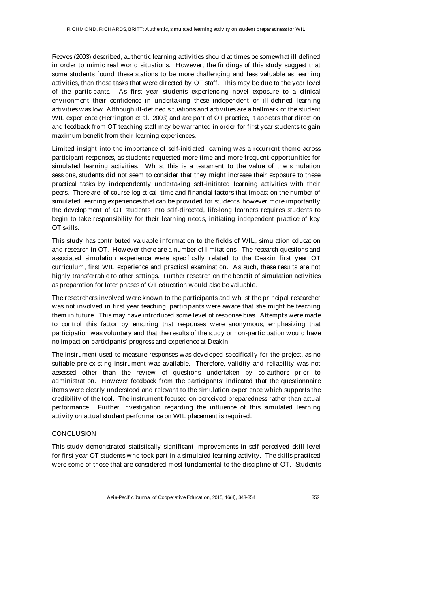Reeves (2003) described, authentic learning activities should at times be somewhat ill defined in order to mimic real world situations. However, the findings of this study suggest that some students found these stations to be more challenging and less valuable as learning activities, than those tasks that were directed by OT staff. This may be due to the year level of the participants. As first year students experiencing novel exposure to a clinical environment their confidence in undertaking these independent or ill-defined learning activities was low. Although ill-defined situations and activities are a hallmark of the student WIL experience (Herrington et al., 2003) and are part of OT practice, it appears that direction and feedback from OT teaching staff may be warranted in order for first year students to gain maximum benefit from their learning experiences.

Limited insight into the importance of self-initiated learning was a recurrent theme across participant responses, as students requested more time and more frequent opportunities for simulated learning activities. Whilst this is a testament to the value of the simulation sessions, students did not seem to consider that they might increase their exposure to these practical tasks by independently undertaking self-initiated learning activities with their peers. There are, of course logistical, time and financial factors that impact on the number of simulated learning experiences that can be provided for students, however more importantly the development of OT students into self-directed, life-long learners requires students to begin to take responsibility for their learning needs, initiating independent practice of key OT skills.

This study has contributed valuable information to the fields of WIL, simulation education and research in OT. However there are a number of limitations. The research questions and associated simulation experience were specifically related to the Deakin first year OT curriculum, first WIL experience and practical examination. As such, these results are not highly transferrable to other settings. Further research on the benefit of simulation activities as preparation for later phases of OT education would also be valuable.

The researchers involved were known to the participants and whilst the principal researcher was not involved in first year teaching, participants were aware that she might be teaching them in future. This may have introduced some level of response bias. Attempts were made to control this factor by ensuring that responses were anonymous, emphasizing that participation was voluntary and that the results of the study or non-participation would have no impact on participants' progress and experience at Deakin.

The instrument used to measure responses was developed specifically for the project, as no suitable pre-existing instrument was available. Therefore, validity and reliability was not assessed other than the review of questions undertaken by co-authors prior to administration. However feedback from the participants' indicated that the questionnaire items were clearly understood and relevant to the simulation experience which supports the credibility of the tool. The instrument focused on perceived preparedness rather than actual performance. Further investigation regarding the influence of this simulated learning activity on actual student performance on WIL placement is required.

#### **CONCLUSION**

This study demonstrated statistically significant improvements in self-perceived skill level for first year OT students who took part in a simulated learning activity. The skills practiced were some of those that are considered most fundamental to the discipline of OT. Students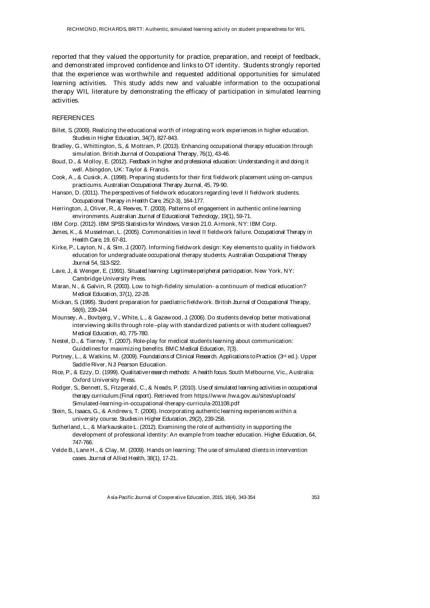reported that they valued the opportunity for practice, preparation, and receipt of feedback, and demonstrated improved confidence and links to OT identity. Students strongly reported that the experience was worthwhile and requested additional opportunities for simulated learning activities. This study adds new and valuable information to the occupational therapy WIL literature by demonstrating the efficacy of participation in simulated learning activities.

#### **REFERENCES**

- Billet, S. (2009). Realizing the educational worth of integrating work experiences in higher education. Studies in Higher Education, 34(7), 827-843.
- Bradley, G., Whittington, S., & Mottram, P. (2013). Enhancing occupational therapy education through simulation. British Journal of Occupational Therapy, 76(1), 43-46.
- Boud, D., & Molloy, E. (2012). Feedback in higher and professional education: Understanding it and doing it well. Abingdon, UK: Taylor & Francis.
- Cook, A., & Cusick, A. (1998). Preparing students for their first fieldwork placement using on-campus practicums. Australian Occupational Therapy Journal, 45, 79-90.
- Hanson, D. (2011). The perspectives of fieldwork educators regarding level II fieldwork students. Occupational Therapy in Health Care, 25(2-3), 164-177.
- Herrington, J., Oliver, R., & Reeves, T. (2003). Patterns of engagement in authentic online learning environments. Australian Journal of Educational Technology, 19(1), 59-71.
- IBM Corp. (2012). IBM SPSS Statistics for Windows, Version 21.0. Armonk, NY: IBM Corp.
- James, K., & Musselman, L. (2005). Commonalities in level II fieldwork failure. Occupational Therapy in Health Care, 19, 67-81.
- Kirke, P., Layton, N., & Sim, J. (2007). Informing fieldwork design: Key elements to quality in fieldwork education for undergraduate occupational therapy students. Australian Occupational Therapy Journal 54, S13-S22.
- Lave, J., & Wenger, E. (1991). Situated learning: Legitimate peripheral participation. New York, NY: Cambridge University Press.
- Maran, N., & Galvin, R. (2003). Low to high-fidelity simulation- a continuum of medical education? Medical Education, 37(1), 22-28.
- Mickan, S. (1995). Student preparation for paediatric fieldwork. British Journal of Occupational Therapy, 58(6), 239-244
- Mounsey, A., Bovbjerg, V., White, L., & Gazewood, J. (2006). Do students develop better motivational interviewing skills through role –play with standardized patients or with student colleagues? Medical Education, 40, 775-780.
- Nestel, D., & Tierney, T. (2007). Role-play for medical students learning about communication: Guidelines for maximizing benefits. BMC Medical Education, 7(3).
- Portney, L., & Watkins, M. (2009). Foundations of Clinical Research. Applications to Practice. (3<sup>rd</sup> ed.). Upper Saddle River, NJ: Pearson Education.
- Rice, P., & Ezzy, D. (1999). Qualitative research methods: A health focus. South Melbourne, Vic., Australia: Oxford University Press.
- Rodger, S., Bennett, S., Fitzgerald, C., & Neads, P. (2010). Use of simulated learning activities in occupational therapy curriculum.(Final report). Retrieved from https://www.hwa.gov.au/sites/uploads/ Simulated-learning-in-occupational-therapy-curricula-201108.pdf
- Stein, S., Isaacs, G., & Andrews, T. (2006). Incorporating authentic learning experiences within a university course. Studies in Higher Education, 29(2), 239-258.
- Sutherland, L., & Markauskaite L. (2012). Examining the role of authenticity in supporting the development of professional identity: An example from teacher education. Higher Education, 64, 747-766.
- Velde B., Lane H., & Clay, M. (2009). Hands on learning: The use of simulated clients in intervention cases. Journal of Allied Health, 38(1), 17-21.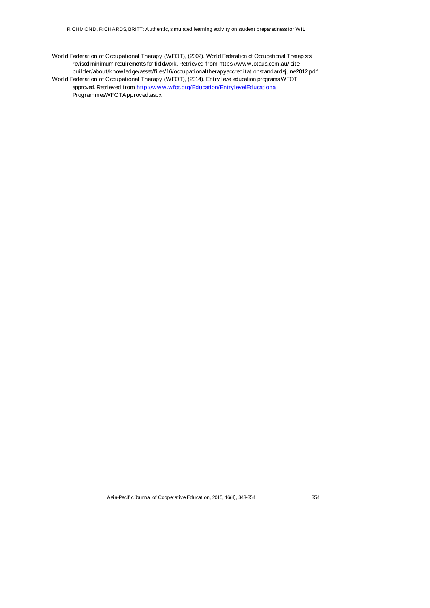World Federation of Occupational Therapy (WFOT), (2002). World Federation of Occupational Therapists' revised minimum requirements for fieldwork. Retrieved from https://www.otaus.com.au/ site builder/about/knowledge/asset/files/16/occupationaltherapyaccreditationstandardsjune2012.pdf World Federation of Occupational Therapy (WFOT), (2014). Entry level education programs WFOT approved. Retrieved from http://www.wfot.org/Education/EntrylevelEducational ProgrammesWFOTApproved.aspx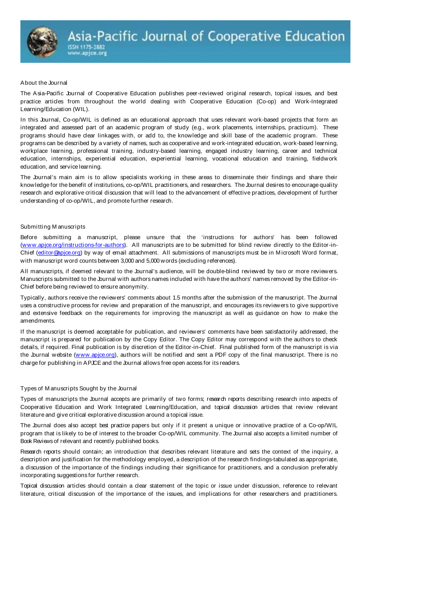

#### About the Journal

The Asia-Pacific Journal of Cooperative Education publishes peer-reviewed original research, topical issues, and best practice articles from throughout the world dealing with Cooperative Education (Co-op) and Work-Integrated Learning/Education (WIL).

In this Journal, Co-op/WIL is defined as an educational approach that uses relevant work-based projects that form an integrated and assessed part of an academic program of study (e.g., work placements, internships, practicum). These programs should have clear linkages with, or add to, the knowledge and skill base of the academic program. These programs can be described by a variety of names, such as cooperative and work-integrated education, work-based learning, workplace learning, professional training, industry-based learning, engaged industry learning, career and technical education, internships, experiential education, experiential learning, vocational education and training, fieldwork education, and service learning.

The Journal's main aim is to allow specialists working in these areas to disseminate their findings and share their knowledge for the benefit of institutions, co-op/WIL practitioners, and researchers. The Journal desires to encourage quality research and explorative critical discussion that will lead to the advancement of effective practices, development of further understanding of co-op/WIL, and promote further research.

#### Submitting M anuscripts

Before submitting a manuscript, please unsure that the 'instructions for authors' has been followed (www.apjce.org/instructions-for-authors). All manuscripts are to be submitted for blind review directly to the Editor-in-Chief (editor@apjce.org) by way of email attachment. All submissions of manuscripts must be in Microsoft Word format, with manuscript word counts between 3,000 and 5,000 words (excluding references).

All manuscripts, if deemed relevant to the Journal's audience, will be double-blind reviewed by two or more reviewers. Manuscripts submitted to the Journal with authors names included with have the authors' names removed by the Editor-in-Chief before being reviewed to ensure anonymity.

Typically, authors receive the reviewers' comments about 1.5 months after the submission of the manuscript. The Journal uses a constructive process for review and preparation of the manuscript, and encourages its reviewers to give supportive and extensive feedback on the requirements for improving the manuscript as well as guidance on how to make the amendments.

If the manuscript is deemed acceptable for publication, and reviewers' comments have been satisfactorily addressed, the manuscript is prepared for publication by the Copy Editor. The Copy Editor may correspond with the authors to check details, if required. Final publication is by discretion of the Editor-in-Chief. Final published form of the manuscript is via the Journal website (www.apice.org), authors will be notified and sent a PDF copy of the final manuscript. There is no charge for publishing in APJCE and the Journal allows free open access for its readers.

#### Types of M anuscripts Sought by the Journal

Types of manuscripts the Journal accepts are primarily of two forms; research reports describing research into aspects of Cooperative Education and Work Integrated Learning/Education, and topical discussion articles that review relevant literature and give critical explorative discussion around a topical issue.

The Journal does also accept best practice papers but only if it present a unique or innovative practice of a Co-op/WIL program that is likely to be of interest to the broader Co-op/WIL community. The Journal also accepts a limited number of Book Reviews of relevant and recently published books.

Research reports should contain; an introduction that describes relevant literature and sets the context of the inquiry, a description and justification for the methodology employed, a description of the research findings-tabulated as appropriate, a discussion of the importance of the findings including their significance for practitioners, and a conclusion preferably incorporating suggestions for further research.

Topical discussion articles should contain a clear statement of the topic or issue under discussion, reference to relevant literature, critical discussion of the importance of the issues, and implications for other researchers and practitioners.